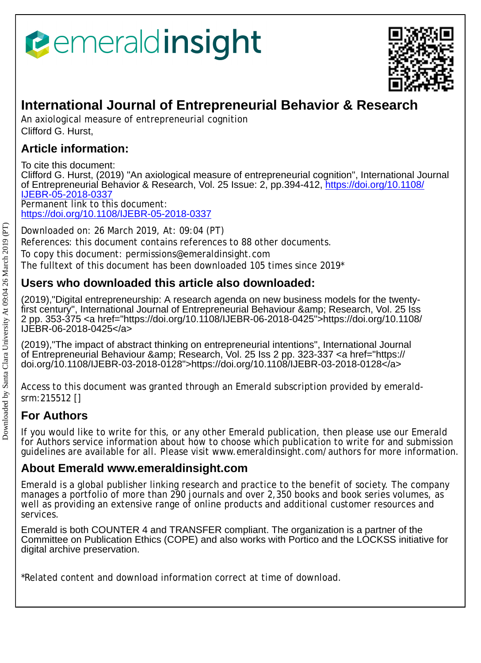



## **International Journal of Entrepreneurial Behavior & Research**

An axiological measure of entrepreneurial cognition Clifford G. Hurst

## **Article information:**

To cite this document: Clifford G. Hurst, (2019) "An axiological measure of entrepreneurial cognition", International Journal of Entrepreneurial Behavior & Research, Vol. 25 Issue: 2, pp.394-412, [https://doi.org/10.1108/](https://doi.org/10.1108/IJEBR-05-2018-0337) [IJEBR-05-2018-0337](https://doi.org/10.1108/IJEBR-05-2018-0337) Permanent link to this document: <https://doi.org/10.1108/IJEBR-05-2018-0337>

Downloaded on: 26 March 2019, At: 09:04 (PT) References: this document contains references to 88 other documents. To copy this document: permissions@emeraldinsight.com The fulltext of this document has been downloaded 105 times since 2019\*

## **Users who downloaded this article also downloaded:**

(2019),"Digital entrepreneurship: A research agenda on new business models for the twentyfirst century", International Journal of Entrepreneurial Behaviour & amp; Research, Vol. 25 Iss 2 pp. 353-375 <a href="https://doi.org/10.1108/IJEBR-06-2018-0425">https://doi.org/10.1108/ IJEBR-06-2018-0425</a>

(2019),"The impact of abstract thinking on entrepreneurial intentions", International Journal of Entrepreneurial Behaviour &amp; Research, Vol. 25 Iss 2 pp. 323-337 <a href="https:// doi.org/10.1108/IJEBR-03-2018-0128">https://doi.org/10.1108/IJEBR-03-2018-0128</a>

Access to this document was granted through an Emerald subscription provided by emeraldsrm:215512 []

## **For Authors**

If you would like to write for this, or any other Emerald publication, then please use our Emerald for Authors service information about how to choose which publication to write for and submission guidelines are available for all. Please visit www.emeraldinsight.com/authors for more information.

### **About Emerald www.emeraldinsight.com**

Emerald is a global publisher linking research and practice to the benefit of society. The company manages a portfolio of more than 290 journals and over 2,350 books and book series volumes, as well as providing an extensive range of online products and additional customer resources and services.

Emerald is both COUNTER 4 and TRANSFER compliant. The organization is a partner of the Committee on Publication Ethics (COPE) and also works with Portico and the LOCKSS initiative for digital archive preservation.

\*Related content and download information correct at time of download.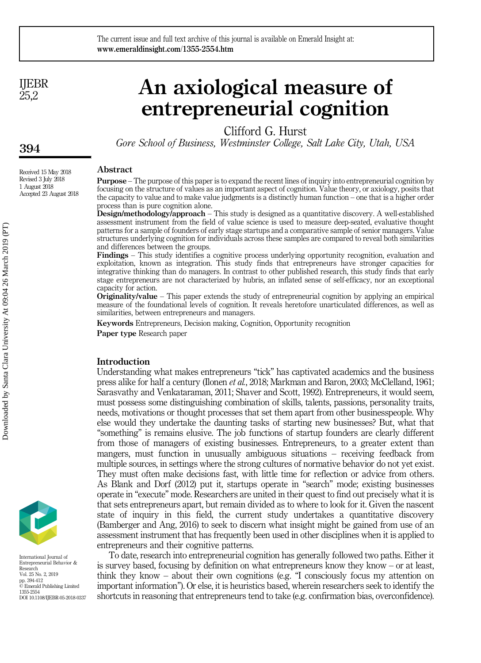IJEBR 25,2

394

Received 15 May 2018 Revised 3 July 2018 1 August 2018 Accepted 23 August 2018

# An axiological measure of entrepreneurial cognition

Clifford G. Hurst

Gore School of Business, Westminster College, Salt Lake City, Utah, USA

#### Abstract

Purpose – The purpose of this paper is to expand the recent lines of inquiry into entrepreneurial cognition by focusing on the structure of values as an important aspect of cognition. Value theory, or axiology, posits that the capacity to value and to make value judgments is a distinctly human function – one that is a higher order process than is pure cognition alone.

Design/methodology/approach – This study is designed as a quantitative discovery. A well-established assessment instrument from the field of value science is used to measure deep-seated, evaluative thought patterns for a sample of founders of early stage startups and a comparative sample of senior managers. Value structures underlying cognition for individuals across these samples are compared to reveal both similarities and differences between the groups.

Findings – This study identifies a cognitive process underlying opportunity recognition, evaluation and exploitation, known as integration. This study finds that entrepreneurs have stronger capacities for integrative thinking than do managers. In contrast to other published research, this study finds that early stage entrepreneurs are not characterized by hubris, an inflated sense of self-efficacy, nor an exceptional capacity for action.

Originality/value – This paper extends the study of entrepreneurial cognition by applying an empirical measure of the foundational levels of cognition. It reveals heretofore unarticulated differences, as well as similarities, between entrepreneurs and managers.

Keywords Entrepreneurs, Decision making, Cognition, Opportunity recognition

Paper type Research paper

#### Introduction

Understanding what makes entrepreneurs "tick" has captivated academics and the business press alike for half a century (Ilonen et al., 2018; Markman and Baron, 2003; McClelland, 1961; Sarasvathy and Venkataraman, 2011; Shaver and Scott, 1992). Entrepreneurs, it would seem, must possess some distinguishing combination of skills, talents, passions, personality traits, needs, motivations or thought processes that set them apart from other businesspeople. Why else would they undertake the daunting tasks of starting new businesses? But, what that "something" is remains elusive. The job functions of startup founders are clearly different from those of managers of existing businesses. Entrepreneurs, to a greater extent than mangers, must function in unusually ambiguous situations – receiving feedback from multiple sources, in settings where the strong cultures of normative behavior do not yet exist. They must often make decisions fast, with little time for reflection or advice from others. As Blank and Dorf (2012) put it, startups operate in "search" mode; existing businesses operate in "execute" mode. Researchers are united in their quest to find out precisely what it is that sets entrepreneurs apart, but remain divided as to where to look for it. Given the nascent state of inquiry in this field, the current study undertakes a quantitative discovery (Bamberger and Ang, 2016) to seek to discern what insight might be gained from use of an assessment instrument that has frequently been used in other disciplines when it is applied to entrepreneurs and their cognitive patterns.

To date, research into entrepreneurial cognition has generally followed two paths. Either it is survey based, focusing by definition on what entrepreneurs know they know – or at least, think they know – about their own cognitions (e.g. "I consciously focus my attention on important information"). Or else, it is heuristics based, wherein researchers seek to identify the shortcuts in reasoning that entrepreneurs tend to take (e.g. confirmation bias, overconfidence).

International Journal of Entrepreneurial Behavior & Research Vol. 25 No. 2, 2019 pp. 394-412 © Emerald Publishing Limited 1355-2554 DOI 10.1108/IJEBR-05-2018-0337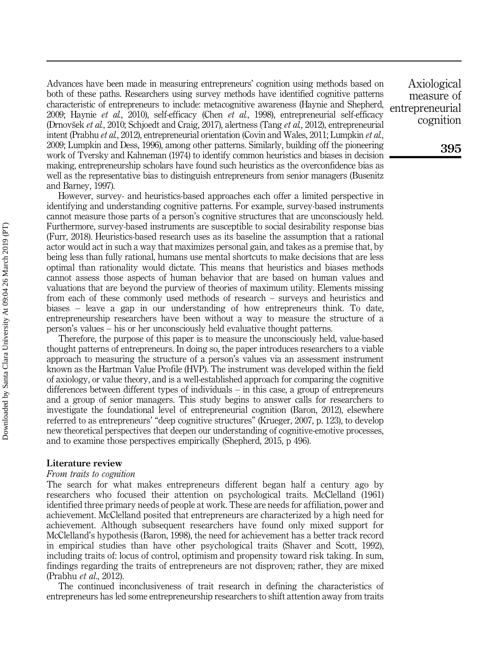Advances have been made in measuring entrepreneurs' cognition using methods based on both of these paths. Researchers using survey methods have identified cognitive patterns characteristic of entrepreneurs to include: metacognitive awareness (Haynie and Shepherd, 2009; Haynie et al., 2010), self-efficacy (Chen et al., 1998), entrepreneurial self-efficacy (Drnovšek et al., 2010; Schjoedt and Craig, 2017), alertness (Tang et al., 2012), entrepreneurial intent (Prabhu et al., 2012), entrepreneurial orientation (Covin and Wales, 2011; Lumpkin et al., 2009; Lumpkin and Dess, 1996), among other patterns. Similarly, building off the pioneering work of Tversky and Kahneman (1974) to identify common heuristics and biases in decision making, entrepreneurship scholars have found such heuristics as the overconfidence bias as well as the representative bias to distinguish entrepreneurs from senior managers (Busenitz and Barney, 1997).

However, survey- and heuristics-based approaches each offer a limited perspective in identifying and understanding cognitive patterns. For example, survey-based instruments cannot measure those parts of a person's cognitive structures that are unconsciously held. Furthermore, survey-based instruments are susceptible to social desirability response bias (Furr, 2018). Heuristics-based research uses as its baseline the assumption that a rational actor would act in such a way that maximizes personal gain, and takes as a premise that, by being less than fully rational, humans use mental shortcuts to make decisions that are less optimal than rationality would dictate. This means that heuristics and biases methods cannot assess those aspects of human behavior that are based on human values and valuations that are beyond the purview of theories of maximum utility. Elements missing from each of these commonly used methods of research – surveys and heuristics and biases – leave a gap in our understanding of how entrepreneurs think. To date, entrepreneurship researchers have been without a way to measure the structure of a person's values – his or her unconsciously held evaluative thought patterns.

Therefore, the purpose of this paper is to measure the unconsciously held, value-based thought patterns of entrepreneurs. In doing so, the paper introduces researchers to a viable approach to measuring the structure of a person's values via an assessment instrument known as the Hartman Value Profile (HVP). The instrument was developed within the field of axiology, or value theory, and is a well-established approach for comparing the cognitive differences between different types of individuals – in this case, a group of entrepreneurs and a group of senior managers. This study begins to answer calls for researchers to investigate the foundational level of entrepreneurial cognition (Baron, 2012), elsewhere referred to as entrepreneurs' "deep cognitive structures" (Krueger, 2007, p. 123), to develop new theoretical perspectives that deepen our understanding of cognitive-emotive processes, and to examine those perspectives empirically (Shepherd, 2015, p 496).

#### Literature review

#### From traits to cognition

The search for what makes entrepreneurs different began half a century ago by researchers who focused their attention on psychological traits. McClelland (1961) identified three primary needs of people at work. These are needs for affiliation, power and achievement. McClelland posited that entrepreneurs are characterized by a high need for achievement. Although subsequent researchers have found only mixed support for McClelland's hypothesis (Baron, 1998), the need for achievement has a better track record in empirical studies than have other psychological traits (Shaver and Scott, 1992), including traits of: locus of control, optimism and propensity toward risk taking. In sum, findings regarding the traits of entrepreneurs are not disproven; rather, they are mixed (Prabhu *et al.*, 2012).

The continued inconclusiveness of trait research in defining the characteristics of entrepreneurs has led some entrepreneurship researchers to shift attention away from traits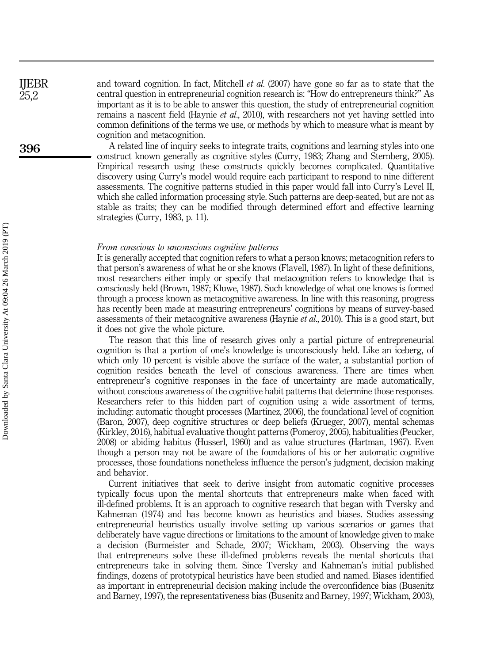and toward cognition. In fact, Mitchell et al. (2007) have gone so far as to state that the central question in entrepreneurial cognition research is: "How do entrepreneurs think?" As important as it is to be able to answer this question, the study of entrepreneurial cognition remains a nascent field (Haynie *et al.*, 2010), with researchers not yet having settled into common definitions of the terms we use, or methods by which to measure what is meant by cognition and metacognition.

A related line of inquiry seeks to integrate traits, cognitions and learning styles into one construct known generally as cognitive styles (Curry, 1983; Zhang and Sternberg, 2005). Empirical research using these constructs quickly becomes complicated. Quantitative discovery using Curry's model would require each participant to respond to nine different assessments. The cognitive patterns studied in this paper would fall into Curry's Level II, which she called information processing style. Such patterns are deep-seated, but are not as stable as traits; they can be modified through determined effort and effective learning strategies (Curry, 1983, p. 11).

#### From conscious to unconscious cognitive patterns

It is generally accepted that cognition refers to what a person knows; metacognition refers to that person's awareness of what he or she knows (Flavell, 1987). In light of these definitions, most researchers either imply or specify that metacognition refers to knowledge that is consciously held (Brown, 1987; Kluwe, 1987). Such knowledge of what one knows is formed through a process known as metacognitive awareness. In line with this reasoning, progress has recently been made at measuring entrepreneurs' cognitions by means of survey-based assessments of their metacognitive awareness (Haynie et al., 2010). This is a good start, but it does not give the whole picture.

The reason that this line of research gives only a partial picture of entrepreneurial cognition is that a portion of one's knowledge is unconsciously held. Like an iceberg, of which only 10 percent is visible above the surface of the water, a substantial portion of cognition resides beneath the level of conscious awareness. There are times when entrepreneur's cognitive responses in the face of uncertainty are made automatically, without conscious awareness of the cognitive habit patterns that determine those responses. Researchers refer to this hidden part of cognition using a wide assortment of terms, including: automatic thought processes (Martinez, 2006), the foundational level of cognition (Baron, 2007), deep cognitive structures or deep beliefs (Krueger, 2007), mental schemas (Kirkley, 2016), habitual evaluative thought patterns (Pomeroy, 2005), habitualities (Peucker, 2008) or abiding habitus (Husserl, 1960) and as value structures (Hartman, 1967). Even though a person may not be aware of the foundations of his or her automatic cognitive processes, those foundations nonetheless influence the person's judgment, decision making and behavior.

Current initiatives that seek to derive insight from automatic cognitive processes typically focus upon the mental shortcuts that entrepreneurs make when faced with ill-defined problems. It is an approach to cognitive research that began with Tversky and Kahneman (1974) and has become known as heuristics and biases. Studies assessing entrepreneurial heuristics usually involve setting up various scenarios or games that deliberately have vague directions or limitations to the amount of knowledge given to make a decision (Burmeister and Schade, 2007; Wickham, 2003). Observing the ways that entrepreneurs solve these ill-defined problems reveals the mental shortcuts that entrepreneurs take in solving them. Since Tversky and Kahneman's initial published findings, dozens of prototypical heuristics have been studied and named. Biases identified as important in entrepreneurial decision making include the overconfidence bias (Busenitz and Barney, 1997), the representativeness bias (Busenitz and Barney, 1997; Wickham, 2003),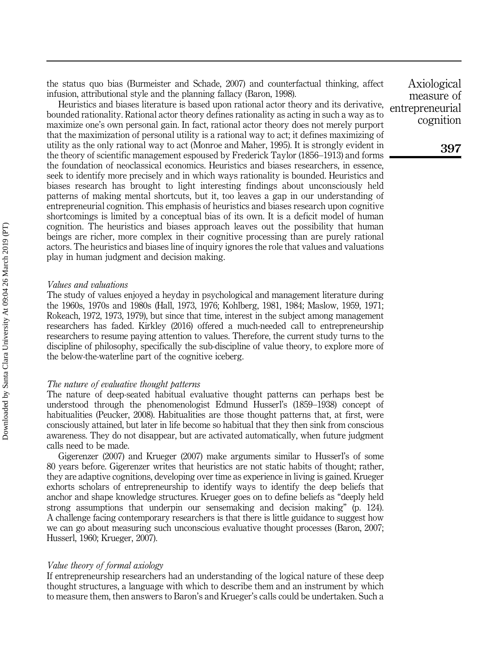the status quo bias (Burmeister and Schade, 2007) and counterfactual thinking, affect infusion, attributional style and the planning fallacy (Baron, 1998).

Heuristics and biases literature is based upon rational actor theory and its derivative, bounded rationality. Rational actor theory defines rationality as acting in such a way as to maximize one's own personal gain. In fact, rational actor theory does not merely purport that the maximization of personal utility is a rational way to act; it defines maximizing of utility as the only rational way to act (Monroe and Maher, 1995). It is strongly evident in the theory of scientific management espoused by Frederick Taylor (1856–1913) and forms the foundation of neoclassical economics. Heuristics and biases researchers, in essence, seek to identify more precisely and in which ways rationality is bounded. Heuristics and biases research has brought to light interesting findings about unconsciously held patterns of making mental shortcuts, but it, too leaves a gap in our understanding of entrepreneurial cognition. This emphasis of heuristics and biases research upon cognitive shortcomings is limited by a conceptual bias of its own. It is a deficit model of human cognition. The heuristics and biases approach leaves out the possibility that human beings are richer, more complex in their cognitive processing than are purely rational actors. The heuristics and biases line of inquiry ignores the role that values and valuations play in human judgment and decision making.

#### Values and valuations

The study of values enjoyed a heyday in psychological and management literature during the 1960s, 1970s and 1980s (Hall, 1973, 1976; Kohlberg, 1981, 1984; Maslow, 1959, 1971; Rokeach, 1972, 1973, 1979), but since that time, interest in the subject among management researchers has faded. Kirkley (2016) offered a much-needed call to entrepreneurship researchers to resume paying attention to values. Therefore, the current study turns to the discipline of philosophy, specifically the sub-discipline of value theory, to explore more of the below-the-waterline part of the cognitive iceberg.

#### The nature of evaluative thought patterns

The nature of deep-seated habitual evaluative thought patterns can perhaps best be understood through the phenomenologist Edmund Husserl's (1859–1938) concept of habitualities (Peucker, 2008). Habitualities are those thought patterns that, at first, were consciously attained, but later in life become so habitual that they then sink from conscious awareness. They do not disappear, but are activated automatically, when future judgment calls need to be made.

Gigerenzer (2007) and Krueger (2007) make arguments similar to Husserl's of some 80 years before. Gigerenzer writes that heuristics are not static habits of thought; rather, they are adaptive cognitions, developing over time as experience in living is gained. Krueger exhorts scholars of entrepreneurship to identify ways to identify the deep beliefs that anchor and shape knowledge structures. Krueger goes on to define beliefs as "deeply held strong assumptions that underpin our sensemaking and decision making" (p. 124). A challenge facing contemporary researchers is that there is little guidance to suggest how we can go about measuring such unconscious evaluative thought processes (Baron, 2007; Husserl, 1960; Krueger, 2007).

#### Value theory of formal axiology

If entrepreneurship researchers had an understanding of the logical nature of these deep thought structures, a language with which to describe them and an instrument by which to measure them, then answers to Baron's and Krueger's calls could be undertaken. Such a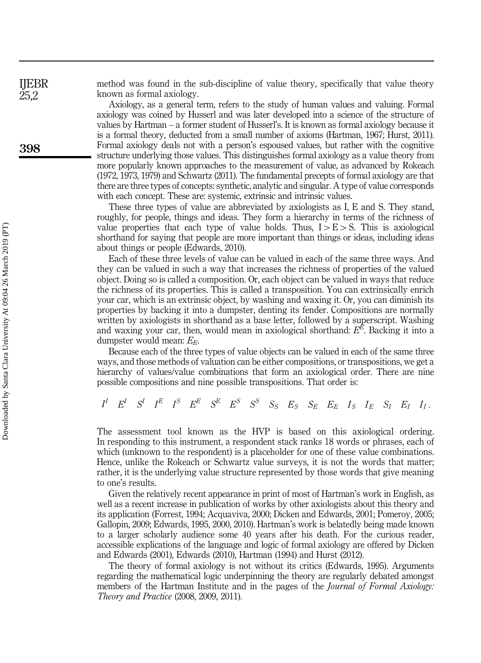method was found in the sub-discipline of value theory, specifically that value theory known as formal axiology.

Axiology, as a general term, refers to the study of human values and valuing. Formal axiology was coined by Husserl and was later developed into a science of the structure of values by Hartman – a former student of Husserl's. It is known as formal axiology because it is a formal theory, deducted from a small number of axioms (Hartman, 1967; Hurst, 2011). Formal axiology deals not with a person's espoused values, but rather with the cognitive structure underlying those values. This distinguishes formal axiology as a value theory from more popularly known approaches to the measurement of value, as advanced by Rokeach (1972, 1973, 1979) and Schwartz (2011). The fundamental precepts of formal axiology are that there are three types of concepts: synthetic, analytic and singular. A type of value corresponds with each concept. These are: systemic, extrinsic and intrinsic values.

These three types of value are abbreviated by axiologists as I, E and S. They stand, roughly, for people, things and ideas. They form a hierarchy in terms of the richness of value properties that each type of value holds. Thus,  $I > E > S$ . This is axiological shorthand for saying that people are more important than things or ideas, including ideas about things or people (Edwards, 2010).

Each of these three levels of value can be valued in each of the same three ways. And they can be valued in such a way that increases the richness of properties of the valued object. Doing so is called a composition. Or, each object can be valued in ways that reduce the richness of its properties. This is called a transposition. You can extrinsically enrich your car, which is an extrinsic object, by washing and waxing it. Or, you can diminish its properties by backing it into a dumpster, denting its fender. Compositions are normally written by axiologists in shorthand as a base letter, followed by a superscript. Washing and waxing your car, then, would mean in axiological shorthand:  $E^{\mathcal{E}}$ . Backing it into a dumpster would mean:  $E<sub>E</sub>$ .

Because each of the three types of value objects can be valued in each of the same three ways, and those methods of valuation can be either compositions, or transpositions, we get a hierarchy of values/value combinations that form an axiological order. There are nine possible compositions and nine possible transpositions. That order is:

 $I^I$   $E^I$   $S^I$   $I^E$   $I^S$   $E^E$   $S^E$   $E^S$   $S^S$   $S_S$   $E_S$   $S_E$   $E_E$   $I_S$   $I_E$   $S_I$   $E_I$   $I_I$ .

The assessment tool known as the HVP is based on this axiological ordering. In responding to this instrument, a respondent stack ranks 18 words or phrases, each of which (unknown to the respondent) is a placeholder for one of these value combinations. Hence, unlike the Rokeach or Schwartz value surveys, it is not the words that matter; rather, it is the underlying value structure represented by those words that give meaning to one's results.

Given the relatively recent appearance in print of most of Hartman's work in English, as well as a recent increase in publication of works by other axiologists about this theory and its application (Forrest, 1994; Acquaviva, 2000; Dicken and Edwards, 2001; Pomeroy, 2005; Gallopin, 2009; Edwards, 1995, 2000, 2010). Hartman's work is belatedly being made known to a larger scholarly audience some 40 years after his death. For the curious reader, accessible explications of the language and logic of formal axiology are offered by Dicken and Edwards (2001), Edwards (2010), Hartman (1994) and Hurst (2012).

The theory of formal axiology is not without its critics (Edwards, 1995). Arguments regarding the mathematical logic underpinning the theory are regularly debated amongst members of the Hartman Institute and in the pages of the *Journal of Formal Axiology*: Theory and Practice (2008, 2009, 2011).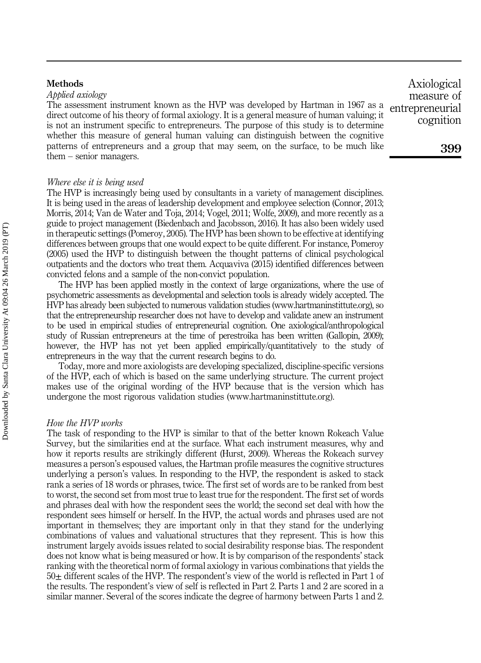#### **Methods**

#### Applied axiology

The assessment instrument known as the HVP was developed by Hartman in 1967 as a direct outcome of his theory of formal axiology. It is a general measure of human valuing; it is not an instrument specific to entrepreneurs. The purpose of this study is to determine whether this measure of general human valuing can distinguish between the cognitive patterns of entrepreneurs and a group that may seem, on the surface, to be much like them – senior managers.

#### Where else it is being used

The HVP is increasingly being used by consultants in a variety of management disciplines. It is being used in the areas of leadership development and employee selection (Connor, 2013; Morris, 2014; Van de Water and Toja, 2014; Vogel, 2011; Wolfe, 2009), and more recently as a guide to project management (Biedenbach and Jacobsson, 2016). It has also been widely used in therapeutic settings (Pomeroy, 2005). The HVP has been shown to be effective at identifying differences between groups that one would expect to be quite different. For instance, Pomeroy (2005) used the HVP to distinguish between the thought patterns of clinical psychological outpatients and the doctors who treat them. Acquaviva (2015) identified differences between convicted felons and a sample of the non-convict population.

The HVP has been applied mostly in the context of large organizations, where the use of psychometric assessments as developmental and selection tools is already widely accepted. The HVP has already been subjected to numerous validation studies [\(www.hartmaninstittute.org\)](www.hartmaninstittute.org), so that the entrepreneurship researcher does not have to develop and validate anew an instrument to be used in empirical studies of entrepreneurial cognition. One axiological/anthropological study of Russian entrepreneurs at the time of perestroika has been written (Gallopin, 2009); however, the HVP has not yet been applied empirically/quantitatively to the study of entrepreneurs in the way that the current research begins to do.

Today, more and more axiologists are developing specialized, discipline-specific versions of the HVP, each of which is based on the same underlying structure. The current project makes use of the original wording of the HVP because that is the version which has undergone the most rigorous validation studies [\(www.hartmaninstittute.org\)](www.hartmaninstittute.org).

#### How the HVP works

The task of responding to the HVP is similar to that of the better known Rokeach Value Survey, but the similarities end at the surface. What each instrument measures, why and how it reports results are strikingly different (Hurst, 2009). Whereas the Rokeach survey measures a person's espoused values, the Hartman profile measures the cognitive structures underlying a person's values. In responding to the HVP, the respondent is asked to stack rank a series of 18 words or phrases, twice. The first set of words are to be ranked from best to worst, the second set from most true to least true for the respondent. The first set of words and phrases deal with how the respondent sees the world; the second set deal with how the respondent sees himself or herself. In the HVP, the actual words and phrases used are not important in themselves; they are important only in that they stand for the underlying combinations of values and valuational structures that they represent. This is how this instrument largely avoids issues related to social desirability response bias. The respondent does not know what is being measured or how. It is by comparison of the respondents' stack ranking with the theoretical norm of formal axiology in various combinations that yields the  $50\pm$  different scales of the HVP. The respondent's view of the world is reflected in Part 1 of the results. The respondent's view of self is reflected in Part 2. Parts 1 and 2 are scored in a similar manner. Several of the scores indicate the degree of harmony between Parts 1 and 2.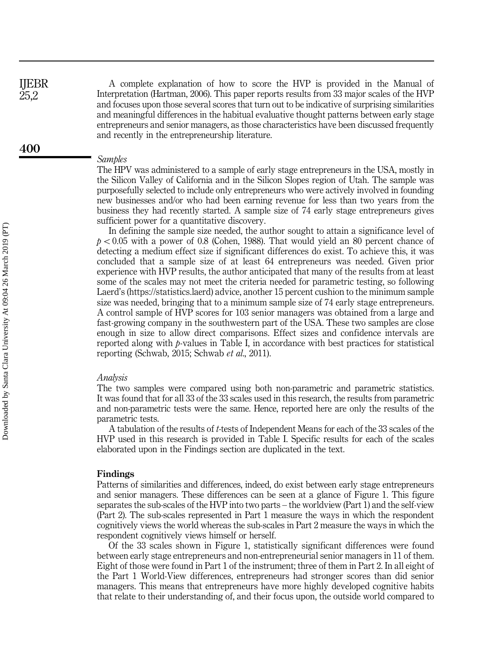A complete explanation of how to score the HVP is provided in the Manual of Interpretation (Hartman, 2006). This paper reports results from 33 major scales of the HVP and focuses upon those several scores that turn out to be indicative of surprising similarities and meaningful differences in the habitual evaluative thought patterns between early stage entrepreneurs and senior managers, as those characteristics have been discussed frequently and recently in the entrepreneurship literature.

#### Samples

The HPV was administered to a sample of early stage entrepreneurs in the USA, mostly in the Silicon Valley of California and in the Silicon Slopes region of Utah. The sample was purposefully selected to include only entrepreneurs who were actively involved in founding new businesses and/or who had been earning revenue for less than two years from the business they had recently started. A sample size of 74 early stage entrepreneurs gives sufficient power for a quantitative discovery.

In defining the sample size needed, the author sought to attain a significance level of  $p < 0.05$  with a power of 0.8 (Cohen, 1988). That would yield an 80 percent chance of detecting a medium effect size if significant differences do exist. To achieve this, it was concluded that a sample size of at least 64 entrepreneurs was needed. Given prior experience with HVP results, the author anticipated that many of the results from at least some of the scales may not meet the criteria needed for parametric testing, so following Laerd's (<https://statistics.laerd>) advice, another 15 percent cushion to the minimum sample size was needed, bringing that to a minimum sample size of 74 early stage entrepreneurs. A control sample of HVP scores for 103 senior managers was obtained from a large and fast-growing company in the southwestern part of the USA. These two samples are close enough in size to allow direct comparisons. Effect sizes and confidence intervals are reported along with  $p$ -values in Table I, in accordance with best practices for statistical reporting (Schwab, 2015; Schwab et al., 2011).

#### Analysis

The two samples were compared using both non-parametric and parametric statistics. It was found that for all 33 of the 33 scales used in this research, the results from parametric and non-parametric tests were the same. Hence, reported here are only the results of the parametric tests.

A tabulation of the results of t-tests of Independent Means for each of the 33 scales of the HVP used in this research is provided in Table I. Specific results for each of the scales elaborated upon in the Findings section are duplicated in the text.

#### Findings

Patterns of similarities and differences, indeed, do exist between early stage entrepreneurs and senior managers. These differences can be seen at a glance of Figure 1. This figure separates the sub-scales of the HVP into two parts – the worldview (Part 1) and the self-view (Part 2). The sub-scales represented in Part 1 measure the ways in which the respondent cognitively views the world whereas the sub-scales in Part 2 measure the ways in which the respondent cognitively views himself or herself.

Of the 33 scales shown in Figure 1, statistically significant differences were found between early stage entrepreneurs and non-entrepreneurial senior managers in 11 of them. Eight of those were found in Part 1 of the instrument; three of them in Part 2. In all eight of the Part 1 World-View differences, entrepreneurs had stronger scores than did senior managers. This means that entrepreneurs have more highly developed cognitive habits that relate to their understanding of, and their focus upon, the outside world compared to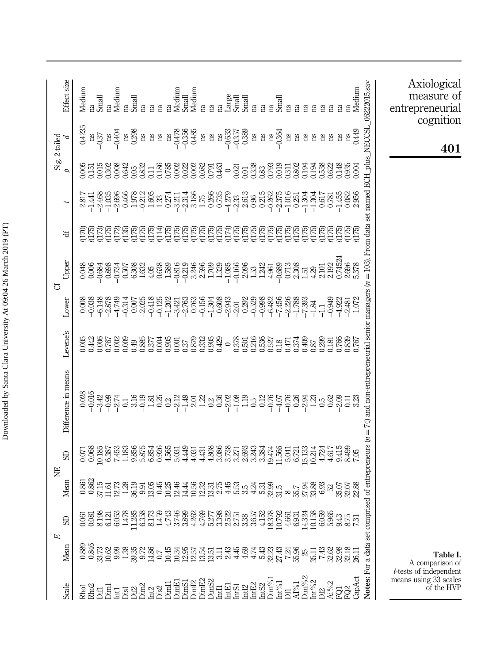|  | Effect size              | Medium<br>$\mathbf{a}$                                                                                                                                                                                                                                                                                        | Small<br><u>ផ្</u>                                                                  | Medium | na<br>Small        | g           | $\mathbf{a}$  | g              | ¤                                      | Medium<br>Small<br>Medium |       | $\mathbf{a}$ | g | й | Large                | Small<br>Small                                                                                                                                                                                                                                                                              | na                            | na          |        | na<br>Small                                                                                          |             |       |                                 |       | na    |        | В                        | na                    | Medium | $=$ 103). From data set named ECH_plus_NECCSL_06222015.sav                     |  |  | Axiological<br>measure<br>entrepreneurial<br>cognition |            |     |  |
|--|--------------------------|---------------------------------------------------------------------------------------------------------------------------------------------------------------------------------------------------------------------------------------------------------------------------------------------------------------|-------------------------------------------------------------------------------------|--------|--------------------|-------------|---------------|----------------|----------------------------------------|---------------------------|-------|--------------|---|---|----------------------|---------------------------------------------------------------------------------------------------------------------------------------------------------------------------------------------------------------------------------------------------------------------------------------------|-------------------------------|-------------|--------|------------------------------------------------------------------------------------------------------|-------------|-------|---------------------------------|-------|-------|--------|--------------------------|-----------------------|--------|--------------------------------------------------------------------------------|--|--|--------------------------------------------------------|------------|-----|--|
|  | Sig. 2-tailed            | $\begin{array}{c} 0.4235 \\ \phantom{0.0} \text{ns} \\ -0.37 \end{array}$                                                                                                                                                                                                                                     |                                                                                     | 0.404  | $\frac{ns}{0.298}$ | $_{\rm ns}$ | $\mathbf{ns}$ | $\mathbf{n}$ s | $-0.478$<br>0.356<br>0.485             |                           |       | $_{\rm ns}$  |   |   |                      | $18$<br>$18$<br>$-0.633$<br>$-0.357$<br>$-0.389$                                                                                                                                                                                                                                            | $_{\rm ns}$                   | $_{\rm ns}$ |        | $-0.364$                                                                                             | $_{\rm ns}$ | ns    | ns                              | g     | ns    | ns     | ns                       | ns                    | 0.449  |                                                                                |  |  |                                                        |            | 401 |  |
|  | $\overline{\mathcal{L}}$ |                                                                                                                                                                                                                                                                                                               |                                                                                     |        |                    |             |               |                |                                        |                           |       |              |   |   |                      |                                                                                                                                                                                                                                                                                             |                               |             |        |                                                                                                      |             |       | 0.194<br>0.194                  |       | 0.538 |        | 0.148                    |                       | 0.004  |                                                                                |  |  |                                                        |            |     |  |
|  | $\ddot{}$                |                                                                                                                                                                                                                                                                                                               |                                                                                     |        |                    |             |               |                |                                        |                           |       |              |   |   |                      |                                                                                                                                                                                                                                                                                             |                               | 0.215       |        | $\begin{array}{c} -0.262 \\ -2.375 \\ -1.016 \\ -1.304 \\ -1.304 \\ -1.304 \\ -1.304 \\ \end{array}$ |             |       |                                 |       | 0.617 |        | 0.781<br>-1.455<br>0.082 |                       | 2.956  |                                                                                |  |  |                                                        |            |     |  |
|  | ₩                        |                                                                                                                                                                                                                                                                                                               | IJIJIJĠŎŔŦĠĠĠĠĠĠĠĠĠĠĠĠĠĠĠ<br>IJIJŎĸŎĊĠĊŦĠĠĠĠĠĠĠĠĠĠĠĠĠĠ                              |        |                    |             |               |                |                                        |                           |       |              |   |   |                      |                                                                                                                                                                                                                                                                                             |                               |             |        |                                                                                                      |             |       | EEEEE<br>EEEEE                  |       |       |        |                          |                       | t(175) |                                                                                |  |  |                                                        |            |     |  |
|  | Upper<br>ਠ               | $0.048$<br>0.006                                                                                                                                                                                                                                                                                              | 9888<br>0.898<br>0.507<br>0.507<br>0.63                                             |        |                    | 1.632       | $4.05$        |                |                                        |                           |       |              |   |   | $-1.085$<br>$-0.166$ |                                                                                                                                                                                                                                                                                             | $\frac{2.096}{1.53}$<br>1.242 |             | 4.961  | $-0.689$<br>0.713<br>2.308                                                                           |             |       | $1.51\,$                        | 4.29  | 2.101 | 2.192  | 0.74524                  | 2.696<br>5.378        |        |                                                                                |  |  |                                                        |            |     |  |
|  | Lower                    | $-0.008$                                                                                                                                                                                                                                                                                                      | 43<br>- 5374<br>- 5314<br>- 5314<br>- 7026                                          |        |                    |             | $-0.418$      |                | 51202<br>-- 1202<br>-- 1202<br>-- 1202 |                           |       |              |   |   |                      | 56<br>1304<br>130433<br>1005293<br>100529                                                                                                                                                                                                                                                   |                               | $-0.998$    |        | $-6.456$<br>$-6.456$<br>$-7.226$<br>$-7.333$<br>$-7.333$<br>$-7.333$<br>$-7.34$<br>$-7.349$          |             |       |                                 |       |       |        | -4.922                   | $-2.481$<br>$1.072$   |        |                                                                                |  |  |                                                        |            |     |  |
|  | Levene's                 | 0.042<br>0.442                                                                                                                                                                                                                                                                                                |                                                                                     |        |                    |             |               |                |                                        |                           |       |              |   |   |                      |                                                                                                                                                                                                                                                                                             |                               |             |        |                                                                                                      |             |       | 0.409<br>0.87<br>0.780<br>0.766 |       |       |        |                          | 0.839                 |        |                                                                                |  |  |                                                        |            |     |  |
|  | Difference in means      |                                                                                                                                                                                                                                                                                                               |                                                                                     |        |                    |             |               |                |                                        |                           |       |              |   |   |                      |                                                                                                                                                                                                                                                                                             |                               |             |        | 9350<br>1957<br>1958                                                                                 |             |       | 34.3968                         |       |       |        |                          | ್ಷ ರ ಜೆ               |        | rised of entrepreneurs $(n = 74)$ and non-entrepreneurial senior managers $(n$ |  |  |                                                        |            |     |  |
|  | SD                       |                                                                                                                                                                                                                                                                                                               |                                                                                     |        |                    |             |               |                |                                        |                           | 4.031 | 4.431        |   |   |                      | $\begin{array}{l} 4.808 \\ 4.3087 \\ 3.3087 \\ 4.3030 \\ 5.3030 \\ 6.3030 \\ 7.3030 \\ 8.3030 \\ 9.3030 \\ 1.3030 \\ 1.3030 \\ 1.3030 \\ 1.3030 \\ 1.3030 \\ 1.3030 \\ 1.3030 \\ 1.3030 \\ 1.3030 \\ 1.3030 \\ 1.3030 \\ 1.3030 \\ 1.3030 \\ 1.3030 \\ 1.3030 \\ 1.3030 \\ 1.3030 \\ 1.303$ |                               | 3.384       | 19.474 | 11.566<br>5.041                                                                                      |             | 6.721 | 15.133                          | 0.214 | 4.724 |        |                          | 451499<br>451499<br>7 |        |                                                                                |  |  |                                                        |            |     |  |
|  | 岂<br>Mean                | 0.862                                                                                                                                                                                                                                                                                                         | 近は沈路出のあおおおは近辺におお話をはは、<br>2015年10月19日には、1919年10月1日には1919年11月11日において、1010年11月11日には11月 |        |                    |             |               |                |                                        |                           |       |              |   |   |                      |                                                                                                                                                                                                                                                                                             |                               |             |        |                                                                                                      |             |       | ∞ 15388<br>∞ 15388<br>∞ 1538    |       |       | $52\,$ |                          | 55<br>52<br>32<br>32  |        |                                                                                |  |  |                                                        |            |     |  |
|  | S                        | $\begin{array}{c} 0.08 \\ 0.08 \\ 0.08 \\ 0.09 \\ 0.01 \\ 0.01 \\ 0.01 \\ 0.01 \\ 0.01 \\ 0.01 \\ 0.01 \\ 0.01 \\ 0.01 \\ 0.01 \\ 0.01 \\ 0.01 \\ 0.01 \\ 0.01 \\ 0.01 \\ 0.01 \\ 0.01 \\ 0.01 \\ 0.01 \\ 0.01 \\ 0.01 \\ 0.01 \\ 0.01 \\ 0.01 \\ 0.01 \\ 0.01 \\ 0.01 \\ 0.01 \\ 0.01 \\ 0.01 \\ 0.01 \\ 0.$ |                                                                                     |        |                    |             |               | 1.45           | 4.74                                   | 3.748                     |       | 4.26         |   |   |                      |                                                                                                                                                                                                                                                                                             |                               |             |        |                                                                                                      |             |       |                                 |       |       |        |                          |                       | 7.31   |                                                                                |  |  |                                                        |            |     |  |
|  | Ε<br>Mean                |                                                                                                                                                                                                                                                                                                               |                                                                                     |        |                    |             |               |                |                                        |                           |       |              |   |   |                      |                                                                                                                                                                                                                                                                                             |                               |             |        |                                                                                                      |             |       | $^{25}$                         |       |       |        |                          | 738835<br>788835      |        | <b>Notes:</b> For a data set comp                                              |  |  | A comparison of                                        | Table I.   |     |  |
|  | Scale                    |                                                                                                                                                                                                                                                                                                               |                                                                                     |        |                    |             |               |                |                                        |                           |       |              |   |   |                      |                                                                                                                                                                                                                                                                                             |                               |             |        |                                                                                                      |             |       |                                 |       |       |        |                          |                       | CapAct |                                                                                |  |  | $t$ -tests of independent<br>means using 33 scales     | of the HVF |     |  |

Downloaded by Santa Clara University At 09:04 26 March 2019 (PT) Downloaded by Santa Clara University At 09:04 26 March 2019 (PT)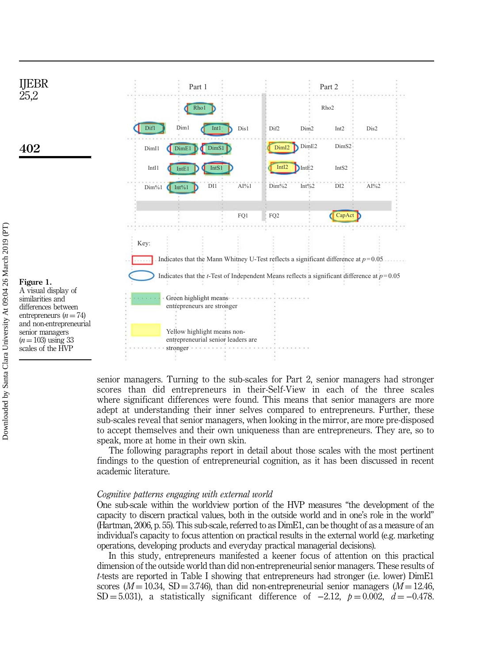

senior managers. Turning to the sub-scales for Part 2, senior managers had stronger scores than did entrepreneurs in their-Self-View in each of the three scales where significant differences were found. This means that senior managers are more adept at understanding their inner selves compared to entrepreneurs. Further, these sub-scales reveal that senior managers, when looking in the mirror, are more pre-disposed to accept themselves and their own uniqueness than are entrepreneurs. They are, so to speak, more at home in their own skin.

The following paragraphs report in detail about those scales with the most pertinent findings to the question of entrepreneurial cognition, as it has been discussed in recent academic literature.

#### Cognitive patterns engaging with external world

One sub-scale within the worldview portion of the HVP measures "the development of the capacity to discern practical values, both in the outside world and in one's role in the world" (Hartman, 2006, p. 55). This sub-scale, referred to as DimE1, can be thought of as a measure of an individual's capacity to focus attention on practical results in the external world (e.g. marketing operations, developing products and everyday practical managerial decisions).

In this study, entrepreneurs manifested a keener focus of attention on this practical dimension of the outside world than did non-entrepreneurial senior managers. These results of t-tests are reported in Table I showing that entrepreneurs had stronger (i.e. lower) DimE1 scores ( $M = 10.34$ , SD = 3.746), than did non-entrepreneurial senior managers ( $M = 12.46$ , SD = 5.031), a statistically significant difference of  $-2.12$ ,  $p = 0.002$ ,  $d = -0.478$ .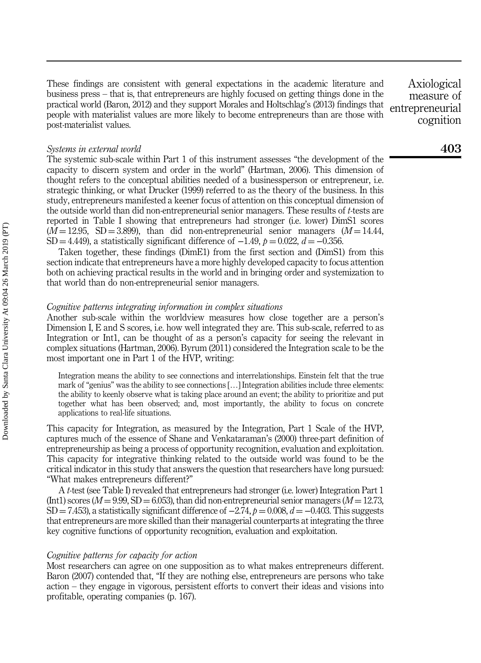These findings are consistent with general expectations in the academic literature and business press – that is, that entrepreneurs are highly focused on getting things done in the practical world (Baron, 2012) and they support Morales and Holtschlag's (2013) findings that people with materialist values are more likely to become entrepreneurs than are those with post-materialist values.

#### Systems in external world

The systemic sub-scale within Part 1 of this instrument assesses "the development of the capacity to discern system and order in the world" (Hartman, 2006). This dimension of thought refers to the conceptual abilities needed of a businessperson or entrepreneur, i.e. strategic thinking, or what Drucker (1999) referred to as the theory of the business. In this study, entrepreneurs manifested a keener focus of attention on this conceptual dimension of the outside world than did non-entrepreneurial senior managers. These results of t-tests are reported in Table I showing that entrepreneurs had stronger (i.e. lower) DimS1 scores  $(M = 12.95, SD = 3.899)$ , than did non-entrepreneurial senior managers  $(M = 14.44,$  $SD = 4.449$ ), a statistically significant difference of  $-1.49$ ,  $b = 0.022$ ,  $d = -0.356$ .

Taken together, these findings (DimE1) from the first section and (DimS1) from this section indicate that entrepreneurs have a more highly developed capacity to focus attention both on achieving practical results in the world and in bringing order and systemization to that world than do non-entrepreneurial senior managers.

#### Cognitive patterns integrating information in complex situations

Another sub-scale within the worldview measures how close together are a person's Dimension I, E and S scores, i.e. how well integrated they are. This sub-scale, referred to as Integration or Int1, can be thought of as a person's capacity for seeing the relevant in complex situations (Hartman, 2006). Byrum (2011) considered the Integration scale to be the most important one in Part 1 of the HVP, writing:

Integration means the ability to see connections and interrelationships. Einstein felt that the true mark of "genius" was the ability to see connections […] Integration abilities include three elements: the ability to keenly observe what is taking place around an event; the ability to prioritize and put together what has been observed; and, most importantly, the ability to focus on concrete applications to real-life situations.

This capacity for Integration, as measured by the Integration, Part 1 Scale of the HVP, captures much of the essence of Shane and Venkataraman's (2000) three-part definition of entrepreneurship as being a process of opportunity recognition, evaluation and exploitation. This capacity for integrative thinking related to the outside world was found to be the critical indicator in this study that answers the question that researchers have long pursued: "What makes entrepreneurs different?"

A t-test (see Table I) revealed that entrepreneurs had stronger (i.e. lower) Integration Part 1 (Int1) scores ( $M = 9.99$ , SD = 6.053), than did non-entrepreneurial senior managers ( $M = 12.73$ , SD = 7.453), a statistically significant difference of  $-2.74$ ,  $p = 0.008$ ,  $d = -0.403$ . This suggests that entrepreneurs are more skilled than their managerial counterparts at integrating the three key cognitive functions of opportunity recognition, evaluation and exploitation.

#### Cognitive patterns for capacity for action

Most researchers can agree on one supposition as to what makes entrepreneurs different. Baron (2007) contended that, "If they are nothing else, entrepreneurs are persons who take action – they engage in vigorous, persistent efforts to convert their ideas and visions into profitable, operating companies (p. 167).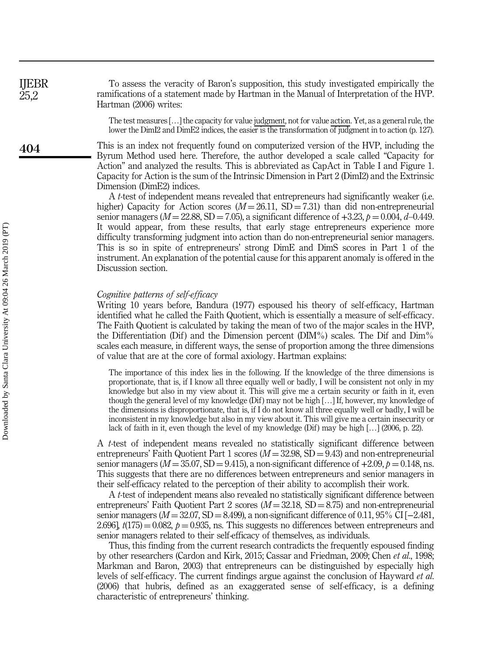To assess the veracity of Baron's supposition, this study investigated empirically the ramifications of a statement made by Hartman in the Manual of Interpretation of the HVP. Hartman (2006) writes:

The test measures […] the capacity for value judgment, not for value action. Yet, as a general rule, the lower the DimI2 and DimE2 indices, the easier is the transformation of judgment in to action (p. 127).

This is an index not frequently found on computerized version of the HVP, including the Byrum Method used here. Therefore, the author developed a scale called "Capacity for Action" and analyzed the results. This is abbreviated as CapAct in Table I and Figure 1. Capacity for Action is the sum of the Intrinsic Dimension in Part 2 (DimI2) and the Extrinsic Dimension (DimE2) indices.

A t-test of independent means revealed that entrepreneurs had significantly weaker (i.e. higher) Capacity for Action scores ( $M = 26.11$ , SD = 7.31) than did non-entrepreneurial senior managers ( $M = 22.88$ , SD = 7.05), a significant difference of  $+3.23$ ,  $p = 0.004$ ,  $d - 0.449$ . It would appear, from these results, that early stage entrepreneurs experience more difficulty transforming judgment into action than do non-entrepreneurial senior managers. This is so in spite of entrepreneurs' strong DimE and DimS scores in Part 1 of the instrument. An explanation of the potential cause for this apparent anomaly is offered in the Discussion section.

#### Cognitive patterns of self-efficacy

Writing 10 years before, Bandura (1977) espoused his theory of self-efficacy, Hartman identified what he called the Faith Quotient, which is essentially a measure of self-efficacy. The Faith Quotient is calculated by taking the mean of two of the major scales in the HVP, the Differentiation (Dif) and the Dimension percent (DIM%) scales. The Dif and Dim% scales each measure, in different ways, the sense of proportion among the three dimensions of value that are at the core of formal axiology. Hartman explains:

The importance of this index lies in the following. If the knowledge of the three dimensions is proportionate, that is, if I know all three equally well or badly, I will be consistent not only in my knowledge but also in my view about it. This will give me a certain security or faith in it, even though the general level of my knowledge (Dif) may not be high […] If, however, my knowledge of the dimensions is disproportionate, that is, if I do not know all three equally well or badly, I will be inconsistent in my knowledge but also in my view about it. This will give me a certain insecurity or lack of faith in it, even though the level of my knowledge (Dif) may be high […] (2006, p. 22).

A t-test of independent means revealed no statistically significant difference between entrepreneurs' Faith Quotient Part 1 scores ( $M = 32.98$ , SD = 9.43) and non-entrepreneurial senior managers ( $M = 35.07$ , SD = 9.415), a non-significant difference of +2.09,  $p = 0.148$ , ns. This suggests that there are no differences between entrepreneurs and senior managers in their self-efficacy related to the perception of their ability to accomplish their work.

A t-test of independent means also revealed no statistically significant difference between entrepreneurs' Faith Quotient Part 2 scores  $(M = 32.18, SD = 8.75)$  and non-entrepreneurial senior managers ( $M = 32.07$ , SD = 8.499), a non-significant difference of 0.11, 95% CI [−2.481, 2.696],  $t(175) = 0.082$ ,  $p = 0.935$ , ns. This suggests no differences between entrepreneurs and senior managers related to their self-efficacy of themselves, as individuals.

Thus, this finding from the current research contradicts the frequently espoused finding by other researchers (Cardon and Kirk, 2015; Cassar and Friedman, 2009; Chen et al., 1998; Markman and Baron, 2003) that entrepreneurs can be distinguished by especially high levels of self-efficacy. The current findings argue against the conclusion of Hayward et al. (2006) that hubris, defined as an exaggerated sense of self-efficacy, is a defining characteristic of entrepreneurs' thinking.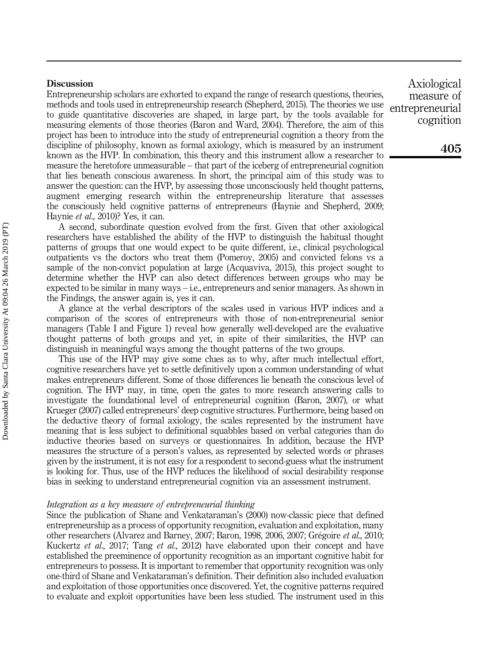#### **Discussion**

Entrepreneurship scholars are exhorted to expand the range of research questions, theories, methods and tools used in entrepreneurship research (Shepherd, 2015). The theories we use to guide quantitative discoveries are shaped, in large part, by the tools available for measuring elements of those theories (Baron and Ward, 2004). Therefore, the aim of this project has been to introduce into the study of entrepreneurial cognition a theory from the discipline of philosophy, known as formal axiology, which is measured by an instrument known as the HVP. In combination, this theory and this instrument allow a researcher to measure the heretofore unmeasurable – that part of the iceberg of entrepreneurial cognition that lies beneath conscious awareness. In short, the principal aim of this study was to answer the question: can the HVP, by assessing those unconsciously held thought patterns, augment emerging research within the entrepreneurship literature that assesses the consciously held cognitive patterns of entrepreneurs (Haynie and Shepherd, 2009; Haynie et al., 2010)? Yes, it can.

A second, subordinate question evolved from the first. Given that other axiological researchers have established the ability of the HVP to distinguish the habitual thought patterns of groups that one would expect to be quite different, i.e., clinical psychological outpatients vs the doctors who treat them (Pomeroy, 2005) and convicted felons vs a sample of the non-convict population at large (Acquaviva, 2015), this project sought to determine whether the HVP can also detect differences between groups who may be expected to be similar in many ways – i.e., entrepreneurs and senior managers. As shown in the Findings, the answer again is, yes it can.

A glance at the verbal descriptors of the scales used in various HVP indices and a comparison of the scores of entrepreneurs with those of non-entrepreneurial senior managers (Table I and Figure 1) reveal how generally well-developed are the evaluative thought patterns of both groups and yet, in spite of their similarities, the HVP can distinguish in meaningful ways among the thought patterns of the two groups.

This use of the HVP may give some clues as to why, after much intellectual effort, cognitive researchers have yet to settle definitively upon a common understanding of what makes entrepreneurs different. Some of those differences lie beneath the conscious level of cognition. The HVP may, in time, open the gates to more research answering calls to investigate the foundational level of entrepreneurial cognition (Baron, 2007), or what Krueger (2007) called entrepreneurs' deep cognitive structures. Furthermore, being based on the deductive theory of formal axiology, the scales represented by the instrument have meaning that is less subject to definitional squabbles based on verbal categories than do inductive theories based on surveys or questionnaires. In addition, because the HVP measures the structure of a person's values, as represented by selected words or phrases given by the instrument, it is not easy for a respondent to second-guess what the instrument is looking for. Thus, use of the HVP reduces the likelihood of social desirability response bias in seeking to understand entrepreneurial cognition via an assessment instrument.

#### Integration as a key measure of entrepreneurial thinking

Since the publication of Shane and Venkataraman's (2000) now-classic piece that defined entrepreneurship as a process of opportunity recognition, evaluation and exploitation, many other researchers (Alvarez and Barney, 2007; Baron, 1998, 2006, 2007; Grégoire et al., 2010; Kuckertz *et al.*, 2017; Tang *et al.*, 2012) have elaborated upon their concept and have established the preeminence of opportunity recognition as an important cognitive habit for entrepreneurs to possess. It is important to remember that opportunity recognition was only one-third of Shane and Venkataraman's definition. Their definition also included evaluation and exploitation of those opportunities once discovered. Yet, the cognitive patterns required to evaluate and exploit opportunities have been less studied. The instrument used in this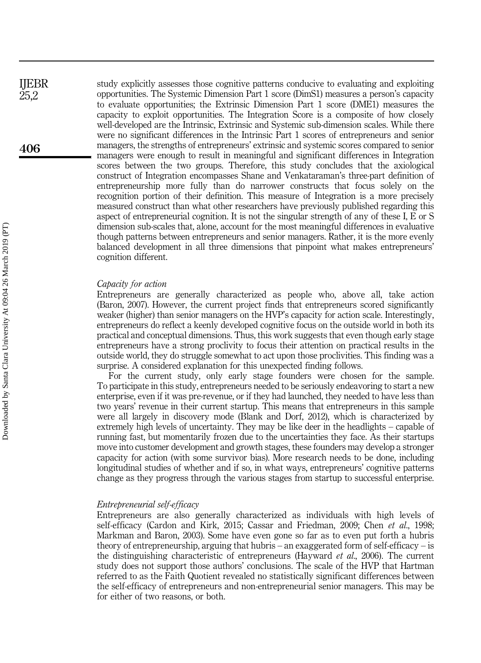study explicitly assesses those cognitive patterns conducive to evaluating and exploiting opportunities. The Systemic Dimension Part 1 score (DimS1) measures a person's capacity to evaluate opportunities; the Extrinsic Dimension Part 1 score (DME1) measures the capacity to exploit opportunities. The Integration Score is a composite of how closely well-developed are the Intrinsic, Extrinsic and Systemic sub-dimension scales. While there were no significant differences in the Intrinsic Part 1 scores of entrepreneurs and senior managers, the strengths of entrepreneurs' extrinsic and systemic scores compared to senior managers were enough to result in meaningful and significant differences in Integration scores between the two groups. Therefore, this study concludes that the axiological construct of Integration encompasses Shane and Venkataraman's three-part definition of entrepreneurship more fully than do narrower constructs that focus solely on the recognition portion of their definition. This measure of Integration is a more precisely measured construct than what other researchers have previously published regarding this aspect of entrepreneurial cognition. It is not the singular strength of any of these I, E or S dimension sub-scales that, alone, account for the most meaningful differences in evaluative though patterns between entrepreneurs and senior managers. Rather, it is the more evenly balanced development in all three dimensions that pinpoint what makes entrepreneurs' cognition different.

#### Capacity for action

Entrepreneurs are generally characterized as people who, above all, take action (Baron, 2007). However, the current project finds that entrepreneurs scored significantly weaker (higher) than senior managers on the HVP's capacity for action scale. Interestingly, entrepreneurs do reflect a keenly developed cognitive focus on the outside world in both its practical and conceptual dimensions. Thus, this work suggests that even though early stage entrepreneurs have a strong proclivity to focus their attention on practical results in the outside world, they do struggle somewhat to act upon those proclivities. This finding was a surprise. A considered explanation for this unexpected finding follows.

For the current study, only early stage founders were chosen for the sample. To participate in this study, entrepreneurs needed to be seriously endeavoring to start a new enterprise, even if it was pre-revenue, or if they had launched, they needed to have less than two years' revenue in their current startup. This means that entrepreneurs in this sample were all largely in discovery mode (Blank and Dorf, 2012), which is characterized by extremely high levels of uncertainty. They may be like deer in the headlights – capable of running fast, but momentarily frozen due to the uncertainties they face. As their startups move into customer development and growth stages, these founders may develop a stronger capacity for action (with some survivor bias). More research needs to be done, including longitudinal studies of whether and if so, in what ways, entrepreneurs' cognitive patterns change as they progress through the various stages from startup to successful enterprise.

#### Entrepreneurial self-efficacy

Entrepreneurs are also generally characterized as individuals with high levels of self-efficacy (Cardon and Kirk, 2015; Cassar and Friedman, 2009; Chen et al., 1998; Markman and Baron, 2003). Some have even gone so far as to even put forth a hubris theory of entrepreneurship, arguing that hubris – an exaggerated form of self-efficacy – is the distinguishing characteristic of entrepreneurs (Hayward et al., 2006). The current study does not support those authors' conclusions. The scale of the HVP that Hartman referred to as the Faith Quotient revealed no statistically significant differences between the self-efficacy of entrepreneurs and non-entrepreneurial senior managers. This may be for either of two reasons, or both.

IJEBR 25,2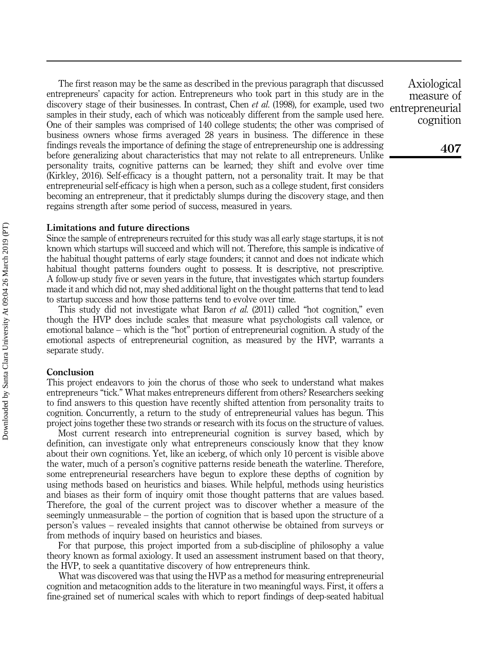The first reason may be the same as described in the previous paragraph that discussed entrepreneurs' capacity for action. Entrepreneurs who took part in this study are in the discovery stage of their businesses. In contrast, Chen *et al.* (1998), for example, used two samples in their study, each of which was noticeably different from the sample used here. One of their samples was comprised of 140 college students; the other was comprised of business owners whose firms averaged 28 years in business. The difference in these findings reveals the importance of defining the stage of entrepreneurship one is addressing before generalizing about characteristics that may not relate to all entrepreneurs. Unlike personality traits, cognitive patterns can be learned; they shift and evolve over time (Kirkley, 2016). Self-efficacy is a thought pattern, not a personality trait. It may be that entrepreneurial self-efficacy is high when a person, such as a college student, first considers becoming an entrepreneur, that it predictably slumps during the discovery stage, and then regains strength after some period of success, measured in years.

#### Limitations and future directions

Since the sample of entrepreneurs recruited for this study was all early stage startups, it is not known which startups will succeed and which will not. Therefore, this sample is indicative of the habitual thought patterns of early stage founders; it cannot and does not indicate which habitual thought patterns founders ought to possess. It is descriptive, not prescriptive. A follow-up study five or seven years in the future, that investigates which startup founders made it and which did not, may shed additional light on the thought patterns that tend to lead to startup success and how those patterns tend to evolve over time.

This study did not investigate what Baron *et al.* (2011) called "hot cognition," even though the HVP does include scales that measure what psychologists call valence, or emotional balance – which is the "hot" portion of entrepreneurial cognition. A study of the emotional aspects of entrepreneurial cognition, as measured by the HVP, warrants a separate study.

#### Conclusion

This project endeavors to join the chorus of those who seek to understand what makes entrepreneurs "tick." What makes entrepreneurs different from others? Researchers seeking to find answers to this question have recently shifted attention from personality traits to cognition. Concurrently, a return to the study of entrepreneurial values has begun. This project joins together these two strands or research with its focus on the structure of values.

Most current research into entrepreneurial cognition is survey based, which by definition, can investigate only what entrepreneurs consciously know that they know about their own cognitions. Yet, like an iceberg, of which only 10 percent is visible above the water, much of a person's cognitive patterns reside beneath the waterline. Therefore, some entrepreneurial researchers have begun to explore these depths of cognition by using methods based on heuristics and biases. While helpful, methods using heuristics and biases as their form of inquiry omit those thought patterns that are values based. Therefore, the goal of the current project was to discover whether a measure of the seemingly unmeasurable – the portion of cognition that is based upon the structure of a person's values – revealed insights that cannot otherwise be obtained from surveys or from methods of inquiry based on heuristics and biases.

For that purpose, this project imported from a sub-discipline of philosophy a value theory known as formal axiology. It used an assessment instrument based on that theory, the HVP, to seek a quantitative discovery of how entrepreneurs think.

What was discovered was that using the HVP as a method for measuring entrepreneurial cognition and metacognition adds to the literature in two meaningful ways. First, it offers a fine-grained set of numerical scales with which to report findings of deep-seated habitual

Axiological measure of entrepreneurial cognition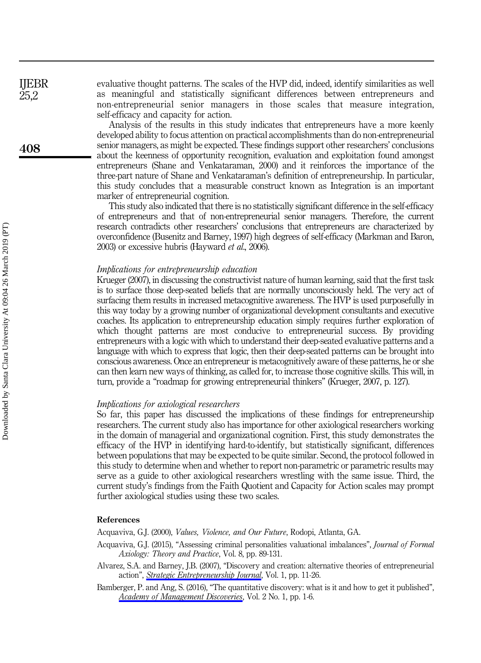evaluative thought patterns. The scales of the HVP did, indeed, identify similarities as well as meaningful and statistically significant differences between entrepreneurs and non-entrepreneurial senior managers in those scales that measure integration, self-efficacy and capacity for action.

Analysis of the results in this study indicates that entrepreneurs have a more keenly developed ability to focus attention on practical accomplishments than do non-entrepreneurial senior managers, as might be expected. These findings support other researchers' conclusions about the keenness of opportunity recognition, evaluation and exploitation found amongst entrepreneurs (Shane and Venkataraman, 2000) and it reinforces the importance of the three-part nature of Shane and Venkataraman's definition of entrepreneurship. In particular, this study concludes that a measurable construct known as Integration is an important marker of entrepreneurial cognition.

This study also indicated that there is no statistically significant difference in the self-efficacy of entrepreneurs and that of non-entrepreneurial senior managers. Therefore, the current research contradicts other researchers' conclusions that entrepreneurs are characterized by overconfidence (Busenitz and Barney, 1997) high degrees of self-efficacy (Markman and Baron, 2003) or excessive hubris (Hayward et al., 2006).

#### Implications for entrepreneurship education

Krueger (2007), in discussing the constructivist nature of human learning, said that the first task is to surface those deep-seated beliefs that are normally unconsciously held. The very act of surfacing them results in increased metacognitive awareness. The HVP is used purposefully in this way today by a growing number of organizational development consultants and executive coaches. Its application to entrepreneurship education simply requires further exploration of which thought patterns are most conducive to entrepreneurial success. By providing entrepreneurs with a logic with which to understand their deep-seated evaluative patterns and a language with which to express that logic, then their deep-seated patterns can be brought into conscious awareness. Once an entrepreneur is metacognitively aware of these patterns, he or she can then learn new ways of thinking, as called for, to increase those cognitive skills. This will, in turn, provide a "roadmap for growing entrepreneurial thinkers" (Krueger, 2007, p. 127).

#### Implications for axiological researchers

So far, this paper has discussed the implications of these findings for entrepreneurship researchers. The current study also has importance for other axiological researchers working in the domain of managerial and organizational cognition. First, this study demonstrates the efficacy of the HVP in identifying hard-to-identify, but statistically significant, differences between populations that may be expected to be quite similar. Second, the protocol followed in this study to determine when and whether to report non-parametric or parametric results may serve as a guide to other axiological researchers wrestling with the same issue. Third, the current study's findings from the Faith Quotient and Capacity for Action scales may prompt further axiological studies using these two scales.

#### References

Acquaviva, G.J. (2000), Values, Violence, and Our Future, Rodopi, Atlanta, GA.

- Acquaviva, G.J. (2015), "Assessing criminal personalities valuational imbalances", Journal of Formal Axiology: Theory and Practice, Vol. 8, pp. 89-131.
- Alvarez, S.A. and Barney, J.B. (2007), "Discovery and creation: alternative theories of entrepreneurial action", *[Strategic Entrepreneurship Journal](https://www.emeraldinsight.com/action/showLinks?doi=10.1108%2FIJEBR-05-2018-0337&crossref=10.1002%2Fsej.4&isi=000207896800003&citationId=p_3)*, Vol. 1, pp. 11-26.
- Bamberger, P. and Ang, S. (2016), "The quantitative discovery: what is it and how to get it published", [Academy of Management Discoveries](https://www.emeraldinsight.com/action/showLinks?doi=10.1108%2FIJEBR-05-2018-0337&crossref=10.5465%2Famd.2015.0060&isi=000387847700001&citationId=p_4), Vol. 2 No. 1, pp. 1-6.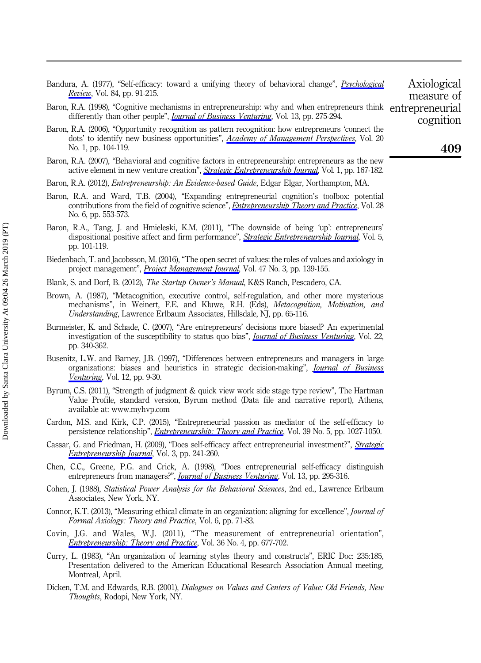- Bandura, A. (1977), "Self-efficacy: toward a unifying theory of behavioral change", *[Psychological](https://www.emeraldinsight.com/action/showLinks?doi=10.1108%2FIJEBR-05-2018-0337&crossref=10.1037%2F0033-295X.84.2.191&isi=A1977CY52700002&citationId=p_5)* [Review](https://www.emeraldinsight.com/action/showLinks?doi=10.1108%2FIJEBR-05-2018-0337&crossref=10.1037%2F0033-295X.84.2.191&isi=A1977CY52700002&citationId=p_5), Vol. 84, pp. 91-215.
- Baron, R.A. (1998), "Cognitive mechanisms in entrepreneurship: why and when entrepreneurs think entrepreneurial differently than other people", [Journal of Business Venturing](https://www.emeraldinsight.com/action/showLinks?doi=10.1108%2FIJEBR-05-2018-0337&crossref=10.1016%2FS0883-9026%2897%2900031-1&isi=000073762200002&citationId=p_6), Vol. 13, pp. 275-294. cognition
- Baron, R.A. (2006), "Opportunity recognition as pattern recognition: how entrepreneurs 'connect the dots' to identify new business opportunities", *[Academy of Management Perspectives](https://www.emeraldinsight.com/action/showLinks?doi=10.1108%2FIJEBR-05-2018-0337&crossref=10.5465%2Famp.2006.19873412&isi=000237672700008&citationId=p_7)*, Vol. 20 No. 1, pp. 104-119.
- Baron, R.A. (2007), "Behavioral and cognitive factors in entrepreneurship: entrepreneurs as the new active element in new venture creation", *[Strategic Entrepreneurship Journal](https://www.emeraldinsight.com/action/showLinks?doi=10.1108%2FIJEBR-05-2018-0337&crossref=10.1002%2Fsej.12&isi=000207896800016&citationId=p_8)*, Vol. 1, pp. 167-182.

Baron, R.A. (2012), Entrepreneurship: An Evidence-based Guide, Edgar Elgar, Northampton, MA.

- Baron, R.A. and Ward, T.B. (2004), "Expanding entrepreneurial cognition's toolbox: potential contributions from the field of cognitive science", *[Entrepreneurship Theory and Practice](https://www.emeraldinsight.com/action/showLinks?doi=10.1108%2FIJEBR-05-2018-0337&crossref=10.1111%2Fj.1540-6520.2004.00064.x&isi=000225356200004&citationId=p_10)*, Vol. 28 No. 6, pp. 553-573.
- Baron, R.A., Tang, J. and Hmieleski, K.M. (2011), "The downside of being 'up': entrepreneurs' dispositional positive affect and firm performance", *[Strategic Entrepreneurship Journal](https://www.emeraldinsight.com/action/showLinks?doi=10.1108%2FIJEBR-05-2018-0337&crossref=10.1002%2Fsej.109&isi=000292443000001&citationId=p_11)*, Vol. 5, pp. 101-119.
- Biedenbach, T. and Jacobsson, M. (2016), "The open secret of values: the roles of values and axiology in project management", *[Project Management Journal](https://www.emeraldinsight.com/action/showLinks?doi=10.1108%2FIJEBR-05-2018-0337&crossref=10.1177%2F875697281604700312&isi=000404016600012&citationId=p_12)*, Vol. 47 No. 3, pp. 139-155.
- Blank, S. and Dorf, B. (2012), The Startup Owner's Manual, K&S Ranch, Pescadero, CA.
- Brown, A. (1987), "Metacognition, executive control, self-regulation, and other more mysterious mechanisms", in Weinert, F.E. and Kluwe, R.H. (Eds), *Metacognition, Motivation, and* Understanding, Lawrence Erlbaum Associates, Hillsdale, NJ, pp. 65-116.
- Burmeister, K. and Schade, C. (2007), "Are entrepreneurs' decisions more biased? An experimental investigation of the susceptibility to status quo bias", *[Journal of Business Venturing](https://www.emeraldinsight.com/action/showLinks?doi=10.1108%2FIJEBR-05-2018-0337&crossref=10.1016%2Fj.jbusvent.2006.04.002&isi=000245388500002&citationId=p_15)*, Vol. 22, pp. 340-362.
- Busenitz, L.W. and Barney, J.B. (1997), "Differences between entrepreneurs and managers in large organizations: biases and heuristics in strategic decision-making", [Journal of Business](https://www.emeraldinsight.com/action/showLinks?doi=10.1108%2FIJEBR-05-2018-0337&crossref=10.1016%2FS0883-9026%2896%2900003-1&isi=A1997WD11500002&citationId=p_16) *[Venturing](https://www.emeraldinsight.com/action/showLinks?doi=10.1108%2FIJEBR-05-2018-0337&crossref=10.1016%2FS0883-9026%2896%2900003-1&isi=A1997WD11500002&citationId=p_16)*, Vol. 12, pp. 9-30.
- Byrum, C.S. (2011), "Strength of judgment & quick view work side stage type review", The Hartman Value Profile, standard version, Byrum method (Data file and narrative report), Athens, available at:<www.myhvp.com>
- Cardon, M.S. and Kirk, C.P. (2015), "Entrepreneurial passion as mediator of the self-efficacy to persistence relationship", *[Entrepreneurship: Theory and Practice](https://www.emeraldinsight.com/action/showLinks?doi=10.1108%2FIJEBR-05-2018-0337&crossref=10.1111%2Fetap.12089&isi=000360806100003&citationId=p_18)*, Vol. 39 No. 5, pp. 1027-1050.
- Cassar, G. and Friedman, H. (2009), "Does self-efficacy affect entrepreneurial investment?", [Strategic](https://www.emeraldinsight.com/action/showLinks?doi=10.1108%2FIJEBR-05-2018-0337&crossref=10.1002%2Fsej.73&isi=000281807300003&citationId=p_19) [Entrepreneurship Journal](https://www.emeraldinsight.com/action/showLinks?doi=10.1108%2FIJEBR-05-2018-0337&crossref=10.1002%2Fsej.73&isi=000281807300003&citationId=p_19), Vol. 3, pp. 241-260.
- Chen, C.C., Greene, P.G. and Crick, A. (1998), "Does entrepreneurial self-efficacy distinguish entrepreneurs from managers?", *[Journal of Business Venturing](https://www.emeraldinsight.com/action/showLinks?doi=10.1108%2FIJEBR-05-2018-0337&crossref=10.1016%2FS0883-9026%2897%2900029-3&isi=000073762200003&citationId=p_20)*, Vol. 13, pp. 295-316.
- Cohen, J. (1988), Statistical Power Analysis for the Behavioral Sciences, 2nd ed., Lawrence Erlbaum Associates, New York, NY.
- Connor, K.T. (2013), "Measuring ethical climate in an organization: aligning for excellence", Journal of Formal Axiology: Theory and Practice, Vol. 6, pp. 71-83.
- Covin, J.G. and Wales, W.J. (2011), "The measurement of entrepreneurial orientation", *[Entrepreneurship: Theory and Practice](https://www.emeraldinsight.com/action/showLinks?doi=10.1108%2FIJEBR-05-2018-0337&crossref=10.1111%2Fj.1540-6520.2010.00432.x&isi=000306312800004&citationId=p_23)*, Vol. 36 No. 4, pp. 677-702.
- Curry, L. (1983), "An organization of learning styles theory and constructs", ERIC Doc: 235:185, Presentation delivered to the American Educational Research Association Annual meeting, Montreal, April.
- Dicken, T.M. and Edwards, R.B. (2001), Dialogues on Values and Centers of Value: Old Friends, New Thoughts, Rodopi, New York, NY.

409

Axiological measure of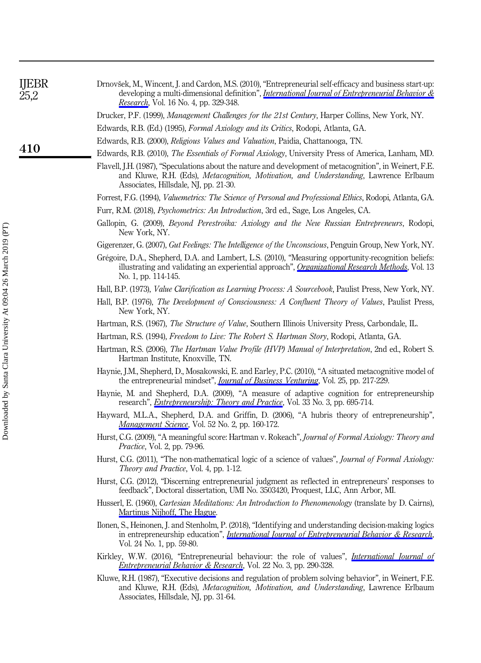| IJEBR<br>25,2 | Drnovšek, M., Wincent, J. and Cardon, M.S. (2010), "Entrepreneurial self-efficacy and business start-up:<br>developing a multi-dimensional definition", International Journal of Entrepreneurial Behavior $\&$<br><i>Research.</i> Vol. 16 No. 4, pp. 329-348. |
|---------------|----------------------------------------------------------------------------------------------------------------------------------------------------------------------------------------------------------------------------------------------------------------|
|               | Drucker, P.F. (1999), <i>Management Challenges for the 21st Century</i> , Harper Collins, New York, NY.                                                                                                                                                        |

Edwards, R.B. (Ed.) (1995), Formal Axiology and its Critics, Rodopi, Atlanta, GA.

Edwards, R.B. (2000), Religious Values and Valuation, Paidia, Chattanooga, TN.

- Edwards, R.B. (2010), The Essentials of Formal Axiology, University Press of America, Lanham, MD.
	- Flavell, J.H. (1987), "Speculations about the nature and development of metacognition", in Weinert, F.E. and Kluwe, R.H. (Eds), *Metacognition, Motivation, and Understanding*, Lawrence Erlbaum Associates, Hillsdale, NJ, pp. 21-30.
	- Forrest, F.G. (1994), Valuemetrics: The Science of Personal and Professional Ethics, Rodopi, Atlanta, GA.
	- Furr, R.M. (2018), Psychometrics: An Introduction, 3rd ed., Sage, Los Angeles, CA.
	- Gallopin, G. (2009), *Beyond Perestroika: Axiology and the New Russian Entrepreneurs*, Rodopi, New York, NY.
	- Gigerenzer, G. (2007), Gut Feelings: The Intelligence of the Unconscious, Penguin Group, New York, NY.
	- Grégoire, D.A., Shepherd, D.A. and Lambert, L.S. (2010), "Measuring opportunity-recognition beliefs: illustrating and validating an experiential approach", [Organizational Research Methods](https://www.emeraldinsight.com/action/showLinks?doi=10.1108%2FIJEBR-05-2018-0337&crossref=10.1177%2F1094428109334369&isi=000272273100008&citationId=p_36), Vol. 13 No. 1, pp. 114-145.
	- Hall, B.P. (1973), Value Clarification as Learning Process: A Sourcebook, Paulist Press, New York, NY.
	- Hall, B.P. (1976), The Development of Consciousness: A Confluent Theory of Values, Paulist Press, New York, NY.
	- Hartman, R.S. (1967), *The Structure of Value*, Southern Illinois University Press, Carbondale, IL.
	- Hartman, R.S. (1994), Freedom to Live: The Robert S. Hartman Story, Rodopi, Atlanta, GA.
	- Hartman, R.S. (2006), The Hartman Value Profile (HVP) Manual of Interpretation, 2nd ed., Robert S. Hartman Institute, Knoxville, TN.
	- Haynie, J.M., Shepherd, D., Mosakowski, E. and Earley, P.C. (2010), "A situated metacognitive model of the entrepreneurial mindset", *[Journal of Business Venturing](https://www.emeraldinsight.com/action/showLinks?doi=10.1108%2FIJEBR-05-2018-0337&crossref=10.1016%2Fj.jbusvent.2008.10.001&isi=000274963600005&citationId=p_42)*, Vol. 25, pp. 217-229.
	- Haynie, M. and Shepherd, D.A. (2009), "A measure of adaptive cognition for entrepreneurship research", *[Entrepreneurship: Theory and Practice](https://www.emeraldinsight.com/action/showLinks?doi=10.1108%2FIJEBR-05-2018-0337&crossref=10.1111%2Fj.1540-6520.2009.00322.x&isi=000265549700006&citationId=p_43)*, Vol. 33 No. 3, pp. 695-714.
	- Hayward, M.L.A., Shepherd, D.A. and Griffin, D. (2006), "A hubris theory of entrepreneurship", [Management Science](https://www.emeraldinsight.com/action/showLinks?doi=10.1108%2FIJEBR-05-2018-0337&crossref=10.1287%2Fmnsc.1050.0483&isi=000235878900002&citationId=p_44), Vol. 52 No. 2, pp. 160-172.
	- Hurst, C.G. (2009), "A meaningful score: Hartman v. Rokeach", Journal of Formal Axiology: Theory and Practice, Vol. 2, pp. 79-96.
	- Hurst, C.G. (2011), "The non-mathematical logic of a science of values", *Journal of Formal Axiology*: Theory and Practice, Vol. 4, pp. 1-12.
	- Hurst, C.G. (2012), "Discerning entrepreneurial judgment as reflected in entrepreneurs' responses to feedback", Doctoral dissertation, UMI No. 3503420, Proquest, LLC, Ann Arbor, MI.
	- Husserl, E. (1960), Cartesian Meditations: An Introduction to Phenomenology (translate by D. Cairns), [Martinus Nijhoff, The Hague.](https://www.emeraldinsight.com/action/showLinks?doi=10.1108%2FIJEBR-05-2018-0337&crossref=10.1007%2F978-94-017-4952-7&citationId=p_48)
	- Ilonen, S., Heinonen, J. and Stenholm, P. (2018), "Identifying and understanding decision-making logics in entrepreneurship education", *[International Journal of Entrepreneurial Behavior & Research](https://www.emeraldinsight.com/action/showLinks?doi=10.1108%2FIJEBR-05-2018-0337&system=10.1108%2FIJEBR-05-2017-0163&isi=000423146900004&citationId=p_49)*, Vol. 24 No. 1, pp. 59-80.
	- Kirkley, W.W. (2016), "Entrepreneurial behaviour: the role of values", *[International Journal of](https://www.emeraldinsight.com/action/showLinks?doi=10.1108%2FIJEBR-05-2018-0337&system=10.1108%2FIJEBR-02-2015-0042&isi=000376123400001&citationId=p_50)* **[Entrepreneurial Behavior & Research](https://www.emeraldinsight.com/action/showLinks?doi=10.1108%2FIJEBR-05-2018-0337&system=10.1108%2FIJEBR-02-2015-0042&isi=000376123400001&citationId=p_50), Vol. 22 No. 3, pp. 290-328.**
	- Kluwe, R.H. (1987), "Executive decisions and regulation of problem solving behavior", in Weinert, F.E. and Kluwe, R.H. (Eds), Metacognition, Motivation, and Understanding, Lawrence Erlbaum Associates, Hillsdale, NJ, pp. 31-64.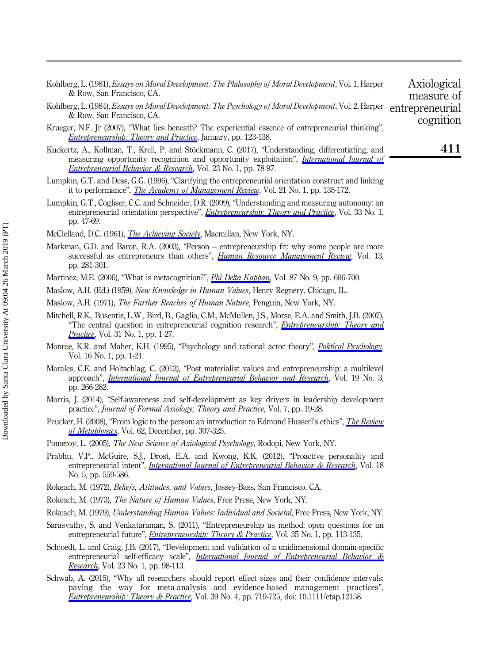| Kohlberg, L. (1981), <i>Essays on Moral Development: The Philosophy of Moral Development</i> , Vol. 1, Harper<br>& Row, San Francisco, CA.                                                                                                                                           | Axiological<br>measure of    |
|--------------------------------------------------------------------------------------------------------------------------------------------------------------------------------------------------------------------------------------------------------------------------------------|------------------------------|
| Kohlberg, L. (1984), Essays on Moral Development: The Psychology of Moral Development, Vol. 2, Harper<br>& Row, San Francisco, CA.                                                                                                                                                   | entrepreneurial<br>cognition |
| Krueger, N.F. Ir (2007), "What lies beneath? The experiential essence of entrepreneurial thinking",<br><i>Entrepreneurship: Theory and Practice, January, pp. 123-138.</i>                                                                                                           |                              |
| Kuckertz, A., Kollman, T., Krell, P. and Stöckmann, C. (2017), "Understanding, differentiating, and<br>measuring opportunity recognition and opportunity exploitation", <i>International Journal of</i><br><i>Entrepreneurial Behavior &amp; Research, Vol. 23 No. 1, pp. 78-97.</i> | 411                          |
| Lumpkin, G.T. and Dess, G.G. (1996), "Clarifying the entrepreneurial orientation construct and linking<br>it to performance", <i>The Academy of Management Review</i> , Vol. 21 No. 1, pp. 135-172.                                                                                  |                              |
| Lumpkin, G.T., Cogliser, C.C. and Schneider, D.R. (2009), "Understanding and measuring autonomy: an<br>entrepreneurial orientation perspective", <i>Entrepreneurship: Theory and Practice</i> , Vol. 33 No. 1,<br>pp. 47-69.                                                         |                              |
| McClelland, D.C. (1961), <i>The Achieving Society</i> , Macmillan, New York, NY.                                                                                                                                                                                                     |                              |
| Markman, G.D. and Baron, R.A. (2003), "Person – entrepreneurship fit: why some people are more<br>successful as entrepreneurs than others", <i>Human Resource Management Review</i> , Vol. 13,<br>pp. 281-301.                                                                       |                              |
| Martinez, M.E. (2006), "What is metacognition?", <i>Phi Delta Kappan</i> , Vol. 87 No. 9, pp. 696-700.                                                                                                                                                                               |                              |
| Maslow, A.H. (Ed.) (1959), <i>New Knowledge in Human Values</i> , Henry Regnery, Chicago, IL.                                                                                                                                                                                        |                              |
| Maslow, A.H. (1971), <i>The Farther Reaches of Human Nature</i> , Penguin, New York, NY.                                                                                                                                                                                             |                              |
| Mitchell, R.K., Busentiz, L.W., Bird, B., Gaglio, C.M., McMullen, J.S., Morse, E.A. and Smith, J.B. (2007),<br>"The central question in entrepreneurial cognition research", <i>Entrepreneurship: Theory and</i><br><i>Practice</i> , Vol. 31 No. 1, pp. 1-27.                       |                              |
| Monroe, K.R. and Maher, K.H. (1995), "Psychology and rational actor theory", <i>Political Psychology</i> ,<br>Vol. 16 No. 1, pp. 1-21.                                                                                                                                               |                              |
| Morales, C.E. and Holtschlag, C. (2013), "Post materialist values and entrepreneurship: a multilevel<br>approach", <i>International Journal of Entrepreneurial Behavior and Research</i> , Vol. 19 No. 3,<br>pp. 266-282.                                                            |                              |
| Morris, J. (2014), "Self-awareness and self-development as key drivers in leadership development<br>practice", Journal of Formal Axiology; Theory and Practice, Vol. 7, pp. 19-28.                                                                                                   |                              |

Peucker, H. (2008), "From logic to the person: an introduction to Edmund Husserl's ethics", *[The Review](https://www.emeraldinsight.com/action/showLinks?doi=10.1108%2FIJEBR-05-2018-0337&isi=000265543700003&citationId=p_67)* [of Metaphysics](https://www.emeraldinsight.com/action/showLinks?doi=10.1108%2FIJEBR-05-2018-0337&isi=000265543700003&citationId=p_67), Vol. 62, December, pp. 307-325.

Pomeroy, L. (2005), The New Science of Axiological Psychology, Rodopi, New York, NY.

- Prabhu, V.P., McGuire, S.J., Drost, E.A. and Kwong, K.K. (2012), "Proactive personality and entrepreneurial intent", *[International Journal of Entrepreneurial Behavior & Research](https://www.emeraldinsight.com/action/showLinks?doi=10.1108%2FIJEBR-05-2018-0337&system=10.1108%2F13552551211253937&isi=000211604700004&citationId=p_69)*, Vol. 18 No. 5, pp. 559-586.
- Rokeach, M. (1972), Beliefs, Attitudes, and Values, Jossey-Bass, San Francisco, CA.
- Rokeach, M. (1973), The Nature of Human Values, Free Press, New York, NY.
- Rokeach, M. (1979), Understanding Human Values: Individual and Societal, Free Press, New York, NY.
- Sarasvathy, S. and Venkataraman, S. (2011), "Entrepreneurship as method: open questions for an entrepreneurial future", *[Entrepreneurship: Theory & Practice](https://www.emeraldinsight.com/action/showLinks?doi=10.1108%2FIJEBR-05-2018-0337&crossref=10.1111%2Fj.1540-6520.2010.00425.x&isi=000286329300006&citationId=p_73)*, Vol. 35 No. 1, pp. 113-135.
- Schjoedt, L. and Craig, J.B. (2017), "Development and validation of a unidimensional domain-specific entrepreneurial self-efficacy scale", *[International Journal of Entrepreneurial Behavior &](https://www.emeraldinsight.com/action/showLinks?doi=10.1108%2FIJEBR-05-2018-0337&system=10.1108%2FIJEBR-11-2015-0251&isi=000395667300008&citationId=p_74) [Research](https://www.emeraldinsight.com/action/showLinks?doi=10.1108%2FIJEBR-05-2018-0337&system=10.1108%2FIJEBR-11-2015-0251&isi=000395667300008&citationId=p_74)*, Vol. 23 No. 1, pp. 98-113.
- Schwab, A. (2015), "Why all researchers should report effect sizes and their confidence intervals: paving the way for meta-analysis and evidence-based management practices", [Entrepreneurship: Theory & Practice](https://www.emeraldinsight.com/action/showLinks?doi=10.1108%2FIJEBR-05-2018-0337&crossref=10.1111%2Fetap.12158&isi=000357388800001&citationId=p_75), Vol. 39 No. 4, pp. 719-725, doi: 10.1111/etap.12158.